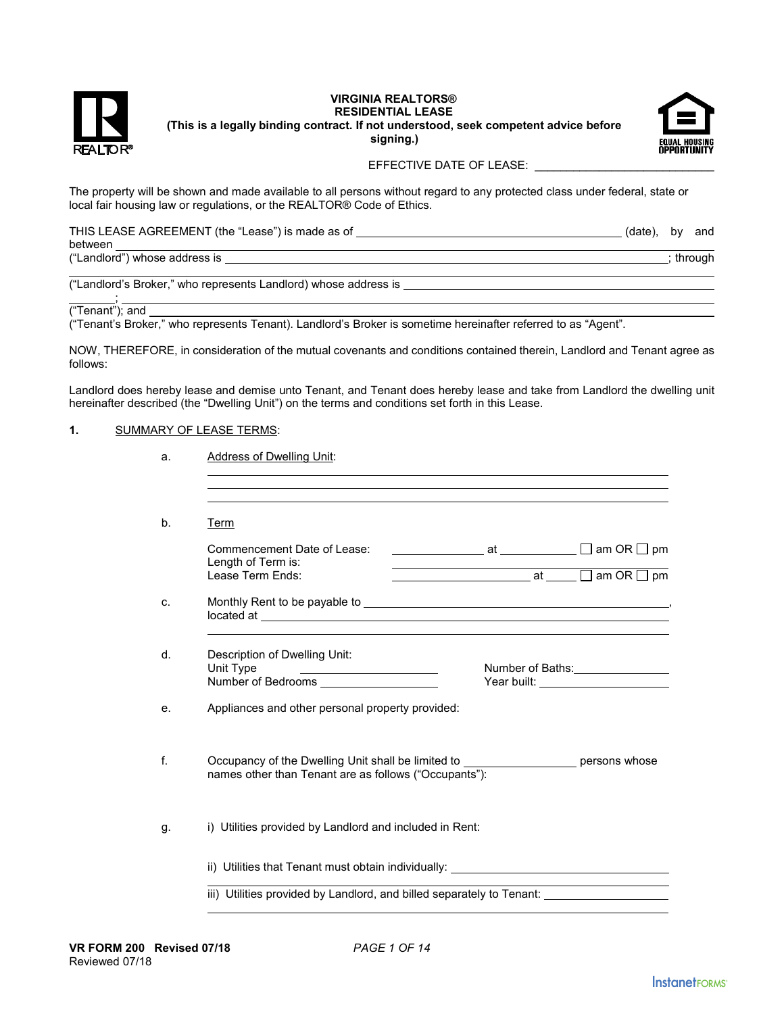

## **VIRGINIA REALTORS® RESIDENTIAL LEASE (This is a legally binding contract. If not understood, seek competent advice before signing.)**



### EFFECTIVE DATE OF LEASE:

The property will be shown and made available to all persons without regard to any protected class under federal, state or local fair housing law or regulations, or the REALTOR® Code of Ethics.

THIS LEASE AGREEMENT (the "Lease") is made as of (date), by and between ("Landlord") whose address is  $\qquad \qquad$  ; through  $\overline{a}$ 

("Landlord's Broker," who represents Landlord) whose address is

<u>; in the set of the set</u> ("Tenant"); and

("Tenant's Broker," who represents Tenant). Landlord's Broker is sometime hereinafter referred to as "Agent".

NOW, THEREFORE, in consideration of the mutual covenants and conditions contained therein, Landlord and Tenant agree as follows:

Landlord does hereby lease and demise unto Tenant, and Tenant does hereby lease and take from Landlord the dwelling unit hereinafter described (the "Dwelling Unit") on the terms and conditions set forth in this Lease.

#### **1.** SUMMARY OF LEASE TERMS:

| Term                                                                                                                                               |  |                                                                                  |  |
|----------------------------------------------------------------------------------------------------------------------------------------------------|--|----------------------------------------------------------------------------------|--|
| Commencement Date of Lease:                                                                                                                        |  |                                                                                  |  |
| Length of Term is:<br>Lease Term Ends:                                                                                                             |  |                                                                                  |  |
|                                                                                                                                                    |  |                                                                                  |  |
| Description of Dwelling Unit:                                                                                                                      |  |                                                                                  |  |
| Unit Type<br><u> 1989 - Johann Barn, mars eta bainar eta idazlea (</u><br>Number of Bedrooms ____________________                                  |  | Year built: ______________________                                               |  |
| Appliances and other personal property provided:                                                                                                   |  |                                                                                  |  |
| Occupancy of the Dwelling Unit shall be limited to ________________________ persons whose<br>names other than Tenant are as follows ("Occupants"): |  |                                                                                  |  |
| i) Utilities provided by Landlord and included in Rent:                                                                                            |  |                                                                                  |  |
|                                                                                                                                                    |  | ii) Utilities that Tenant must obtain individually: ____________________________ |  |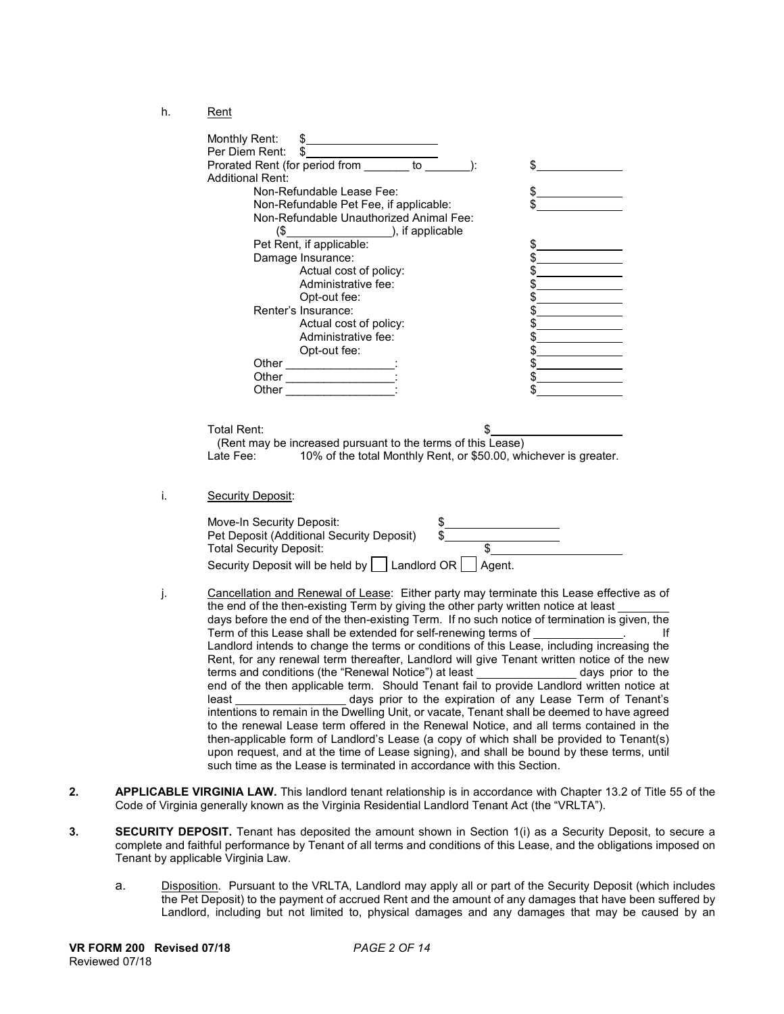h. Rent

|    | Monthly Rent:<br>\$<br>Per Diem Rent:<br>\$                                                                                                                                     |
|----|---------------------------------------------------------------------------------------------------------------------------------------------------------------------------------|
|    | Prorated Rent (for period from _______ to<br>$\cdot$<br>\$<br><b>Additional Rent:</b>                                                                                           |
|    | Non-Refundable Lease Fee:<br>\$                                                                                                                                                 |
|    | Non-Refundable Pet Fee, if applicable:                                                                                                                                          |
|    | Non-Refundable Unauthorized Animal Fee:                                                                                                                                         |
|    | $($$ ), if applicable                                                                                                                                                           |
|    | Pet Rent, if applicable:                                                                                                                                                        |
|    | \$<br>\$<br>Damage Insurance:                                                                                                                                                   |
|    | Actual cost of policy:<br>\$                                                                                                                                                    |
|    | Administrative fee:                                                                                                                                                             |
|    | Opt-out fee:                                                                                                                                                                    |
|    | Renter's Insurance:                                                                                                                                                             |
|    | Actual cost of policy:<br>\$                                                                                                                                                    |
|    | Administrative fee:<br>\$                                                                                                                                                       |
|    | Opt-out fee:<br>\$                                                                                                                                                              |
|    |                                                                                                                                                                                 |
|    | \$                                                                                                                                                                              |
|    | Other __________________                                                                                                                                                        |
|    |                                                                                                                                                                                 |
|    |                                                                                                                                                                                 |
|    | Total Rent:<br>S<br>(Rent may be increased pursuant to the terms of this Lease)<br>10% of the total Monthly Rent, or \$50.00, whichever is greater.<br>Late Fee:                |
| i. | Security Deposit:                                                                                                                                                               |
|    | Move-In Security Deposit:<br>\$_                                                                                                                                                |
|    | Pet Deposit (Additional Security Deposit)                                                                                                                                       |
|    | \$<br><b>Total Security Deposit:</b>                                                                                                                                            |
|    | Security Deposit will be held by $\Box$ Landlord OR $\Box$ Agent.                                                                                                               |
|    |                                                                                                                                                                                 |
|    | Cancellation and Renewal of Lease: Either party may terminate this Lease effective as of<br>the end of the then-existing Term by giving the other party written notice at least |
|    | days before the end of the then-existing Term. If no such notice of termination is given, the                                                                                   |
|    | Term of this Lease shall be extended for self-renewing terms of ______________.<br>Ιf                                                                                           |
|    | Landlord intends to change the terms or conditions of this Lease, including increasing the                                                                                      |
|    | Rent, for any renewal term thereafter, Landlord will give Tenant written notice of the new                                                                                      |
|    | terms and conditions (the "Renewal Notice") at least __________________ days prior to the                                                                                       |
|    | end of the then applicable term. Should Tenant fail to provide Landlord written notice at                                                                                       |
|    | least ______________________ days prior to the expiration of any Lease Term of Tenant's                                                                                         |
|    | intentions to remain in the Dwelling Unit, or vacate, Tenant shall be deemed to have agreed                                                                                     |
|    | to the renewal Lease term offered in the Renewal Notice, and all terms contained in the                                                                                         |
|    | then-applicable form of Landlord's Lease (a copy of which shall be provided to Tenant(s)                                                                                        |
|    | upon request, and at the time of Lease signing), and shall be bound by these terms, until                                                                                       |
|    | such time as the Lease is terminated in accordance with this Section                                                                                                            |

- **2. APPLICABLE VIRGINIA LAW.** This landlord tenant relationship is in accordance with Chapter 13.2 of Title 55 of the Code of Virginia generally known as the Virginia Residential Landlord Tenant Act (the "VRLTA").
- **3. SECURITY DEPOSIT.** Tenant has deposited the amount shown in Section 1(i) as a Security Deposit, to secure a complete and faithful performance by Tenant of all terms and conditions of this Lease, and the obligations imposed on Tenant by applicable Virginia Law.
	- a. Disposition. Pursuant to the VRLTA, Landlord may apply all or part of the Security Deposit (which includes the Pet Deposit) to the payment of accrued Rent and the amount of any damages that have been suffered by Landlord, including but not limited to, physical damages and any damages that may be caused by an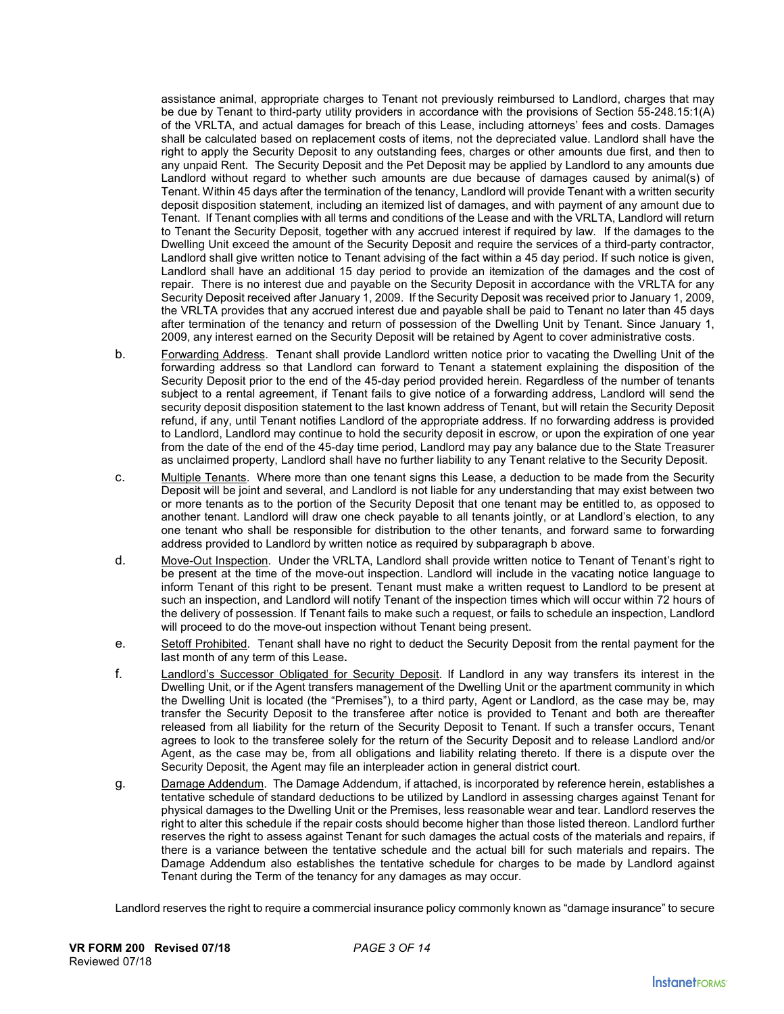assistance animal, appropriate charges to Tenant not previously reimbursed to Landlord, charges that may be due by Tenant to third-party utility providers in accordance with the provisions of Section 55-248.15:1(A) of the VRLTA, and actual damages for breach of this Lease, including attorneys' fees and costs. Damages shall be calculated based on replacement costs of items, not the depreciated value. Landlord shall have the right to apply the Security Deposit to any outstanding fees, charges or other amounts due first, and then to any unpaid Rent. The Security Deposit and the Pet Deposit may be applied by Landlord to any amounts due Landlord without regard to whether such amounts are due because of damages caused by animal(s) of Tenant. Within 45 days after the termination of the tenancy, Landlord will provide Tenant with a written security deposit disposition statement, including an itemized list of damages, and with payment of any amount due to Tenant. If Tenant complies with all terms and conditions of the Lease and with the VRLTA, Landlord will return to Tenant the Security Deposit, together with any accrued interest if required by law. If the damages to the Dwelling Unit exceed the amount of the Security Deposit and require the services of a third-party contractor, Landlord shall give written notice to Tenant advising of the fact within a 45 day period. If such notice is given, Landlord shall have an additional 15 day period to provide an itemization of the damages and the cost of repair. There is no interest due and payable on the Security Deposit in accordance with the VRLTA for any Security Deposit received after January 1, 2009. If the Security Deposit was received prior to January 1, 2009, the VRLTA provides that any accrued interest due and payable shall be paid to Tenant no later than 45 days after termination of the tenancy and return of possession of the Dwelling Unit by Tenant. Since January 1, 2009, any interest earned on the Security Deposit will be retained by Agent to cover administrative costs.

- b. Forwarding Address. Tenant shall provide Landlord written notice prior to vacating the Dwelling Unit of the forwarding address so that Landlord can forward to Tenant a statement explaining the disposition of the Security Deposit prior to the end of the 45-day period provided herein. Regardless of the number of tenants subject to a rental agreement, if Tenant fails to give notice of a forwarding address, Landlord will send the security deposit disposition statement to the last known address of Tenant, but will retain the Security Deposit refund, if any, until Tenant notifies Landlord of the appropriate address. If no forwarding address is provided to Landlord, Landlord may continue to hold the security deposit in escrow, or upon the expiration of one year from the date of the end of the 45-day time period, Landlord may pay any balance due to the State Treasurer as unclaimed property, Landlord shall have no further liability to any Tenant relative to the Security Deposit.
- c. Multiple Tenants. Where more than one tenant signs this Lease, a deduction to be made from the Security Deposit will be joint and several, and Landlord is not liable for any understanding that may exist between two or more tenants as to the portion of the Security Deposit that one tenant may be entitled to, as opposed to another tenant. Landlord will draw one check payable to all tenants jointly, or at Landlord's election, to any one tenant who shall be responsible for distribution to the other tenants, and forward same to forwarding address provided to Landlord by written notice as required by subparagraph b above.
- d. Move-Out Inspection. Under the VRLTA, Landlord shall provide written notice to Tenant of Tenant's right to be present at the time of the move-out inspection. Landlord will include in the vacating notice language to inform Tenant of this right to be present. Tenant must make a written request to Landlord to be present at such an inspection, and Landlord will notify Tenant of the inspection times which will occur within 72 hours of the delivery of possession. If Tenant fails to make such a request, or fails to schedule an inspection, Landlord will proceed to do the move-out inspection without Tenant being present.
- e. Setoff Prohibited. Tenant shall have no right to deduct the Security Deposit from the rental payment for the last month of any term of this Lease**.**
- f. Landlord's Successor Obligated for Security Deposit. If Landlord in any way transfers its interest in the Dwelling Unit, or if the Agent transfers management of the Dwelling Unit or the apartment community in which the Dwelling Unit is located (the "Premises"), to a third party, Agent or Landlord, as the case may be, may transfer the Security Deposit to the transferee after notice is provided to Tenant and both are thereafter released from all liability for the return of the Security Deposit to Tenant. If such a transfer occurs, Tenant agrees to look to the transferee solely for the return of the Security Deposit and to release Landlord and/or Agent, as the case may be, from all obligations and liability relating thereto. If there is a dispute over the Security Deposit, the Agent may file an interpleader action in general district court.
- g. Damage Addendum. The Damage Addendum, if attached, is incorporated by reference herein, establishes a tentative schedule of standard deductions to be utilized by Landlord in assessing charges against Tenant for physical damages to the Dwelling Unit or the Premises, less reasonable wear and tear. Landlord reserves the right to alter this schedule if the repair costs should become higher than those listed thereon. Landlord further reserves the right to assess against Tenant for such damages the actual costs of the materials and repairs, if there is a variance between the tentative schedule and the actual bill for such materials and repairs. The Damage Addendum also establishes the tentative schedule for charges to be made by Landlord against Tenant during the Term of the tenancy for any damages as may occur.

Landlord reserves the right to require a commercial insurance policy commonly known as "damage insurance" to secure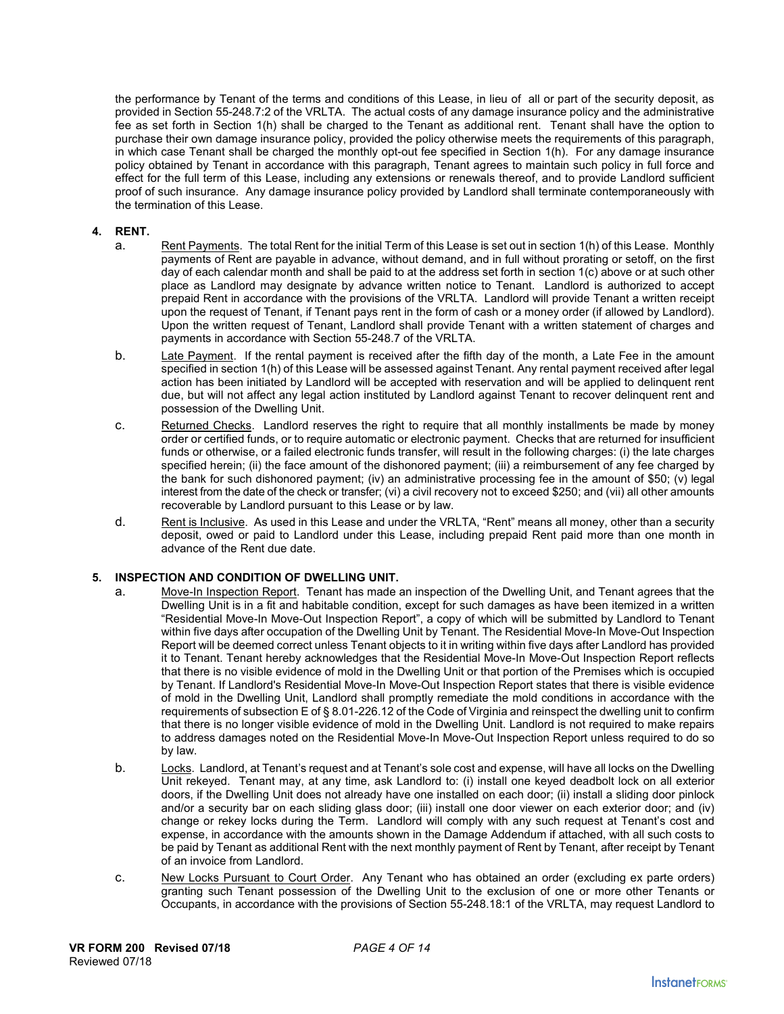the performance by Tenant of the terms and conditions of this Lease, in lieu of all or part of the security deposit, as provided in Section 55-248.7:2 of the VRLTA. The actual costs of any damage insurance policy and the administrative fee as set forth in Section 1(h) shall be charged to the Tenant as additional rent. Tenant shall have the option to purchase their own damage insurance policy, provided the policy otherwise meets the requirements of this paragraph, in which case Tenant shall be charged the monthly opt-out fee specified in Section 1(h). For any damage insurance policy obtained by Tenant in accordance with this paragraph, Tenant agrees to maintain such policy in full force and effect for the full term of this Lease, including any extensions or renewals thereof, and to provide Landlord sufficient proof of such insurance. Any damage insurance policy provided by Landlord shall terminate contemporaneously with the termination of this Lease.

### **4. RENT.**

- a. Rent Payments. The total Rent for the initial Term of this Lease is set out in section 1(h) of this Lease. Monthly payments of Rent are payable in advance, without demand, and in full without prorating or setoff, on the first day of each calendar month and shall be paid to at the address set forth in section 1(c) above or at such other place as Landlord may designate by advance written notice to Tenant. Landlord is authorized to accept prepaid Rent in accordance with the provisions of the VRLTA. Landlord will provide Tenant a written receipt upon the request of Tenant, if Tenant pays rent in the form of cash or a money order (if allowed by Landlord). Upon the written request of Tenant, Landlord shall provide Tenant with a written statement of charges and payments in accordance with Section 55-248.7 of the VRLTA.
- b. Late Payment. If the rental payment is received after the fifth day of the month, a Late Fee in the amount specified in section 1(h) of this Lease will be assessed against Tenant. Any rental payment received after legal action has been initiated by Landlord will be accepted with reservation and will be applied to delinquent rent due, but will not affect any legal action instituted by Landlord against Tenant to recover delinquent rent and possession of the Dwelling Unit.
- c. Returned Checks. Landlord reserves the right to require that all monthly installments be made by money order or certified funds, or to require automatic or electronic payment. Checks that are returned for insufficient funds or otherwise, or a failed electronic funds transfer, will result in the following charges: (i) the late charges specified herein; (ii) the face amount of the dishonored payment; (iii) a reimbursement of any fee charged by the bank for such dishonored payment; (iv) an administrative processing fee in the amount of \$50; (v) legal interest from the date of the check or transfer; (vi) a civil recovery not to exceed \$250; and (vii) all other amounts recoverable by Landlord pursuant to this Lease or by law.
- d. Rent is Inclusive. As used in this Lease and under the VRLTA, "Rent" means all money, other than a security deposit, owed or paid to Landlord under this Lease, including prepaid Rent paid more than one month in advance of the Rent due date.

# **5. INSPECTION AND CONDITION OF DWELLING UNIT.**

- a. Move-In Inspection Report. Tenant has made an inspection of the Dwelling Unit, and Tenant agrees that the Dwelling Unit is in a fit and habitable condition, except for such damages as have been itemized in a written "Residential Move-In Move-Out Inspection Report", a copy of which will be submitted by Landlord to Tenant within five days after occupation of the Dwelling Unit by Tenant. The Residential Move-In Move-Out Inspection Report will be deemed correct unless Tenant objects to it in writing within five days after Landlord has provided it to Tenant. Tenant hereby acknowledges that the Residential Move-In Move-Out Inspection Report reflects that there is no visible evidence of mold in the Dwelling Unit or that portion of the Premises which is occupied by Tenant. If Landlord's Residential Move-In Move-Out Inspection Report states that there is visible evidence of mold in the Dwelling Unit, Landlord shall promptly remediate the mold conditions in accordance with the requirements of subsection E of § 8.01-226.12 of the Code of Virginia and reinspect the dwelling unit to confirm that there is no longer visible evidence of mold in the Dwelling Unit. Landlord is not required to make repairs to address damages noted on the Residential Move-In Move-Out Inspection Report unless required to do so by law.
- b. Locks. Landlord, at Tenant's request and at Tenant's sole cost and expense, will have all locks on the Dwelling Unit rekeyed. Tenant may, at any time, ask Landlord to: (i) install one keyed deadbolt lock on all exterior doors, if the Dwelling Unit does not already have one installed on each door; (ii) install a sliding door pinlock and/or a security bar on each sliding glass door; (iii) install one door viewer on each exterior door; and (iv) change or rekey locks during the Term. Landlord will comply with any such request at Tenant's cost and expense, in accordance with the amounts shown in the Damage Addendum if attached, with all such costs to be paid by Tenant as additional Rent with the next monthly payment of Rent by Tenant, after receipt by Tenant of an invoice from Landlord.
- c. New Locks Pursuant to Court Order. Any Tenant who has obtained an order (excluding ex parte orders) granting such Tenant possession of the Dwelling Unit to the exclusion of one or more other Tenants or Occupants, in accordance with the provisions of Section 55-248.18:1 of the VRLTA, may request Landlord to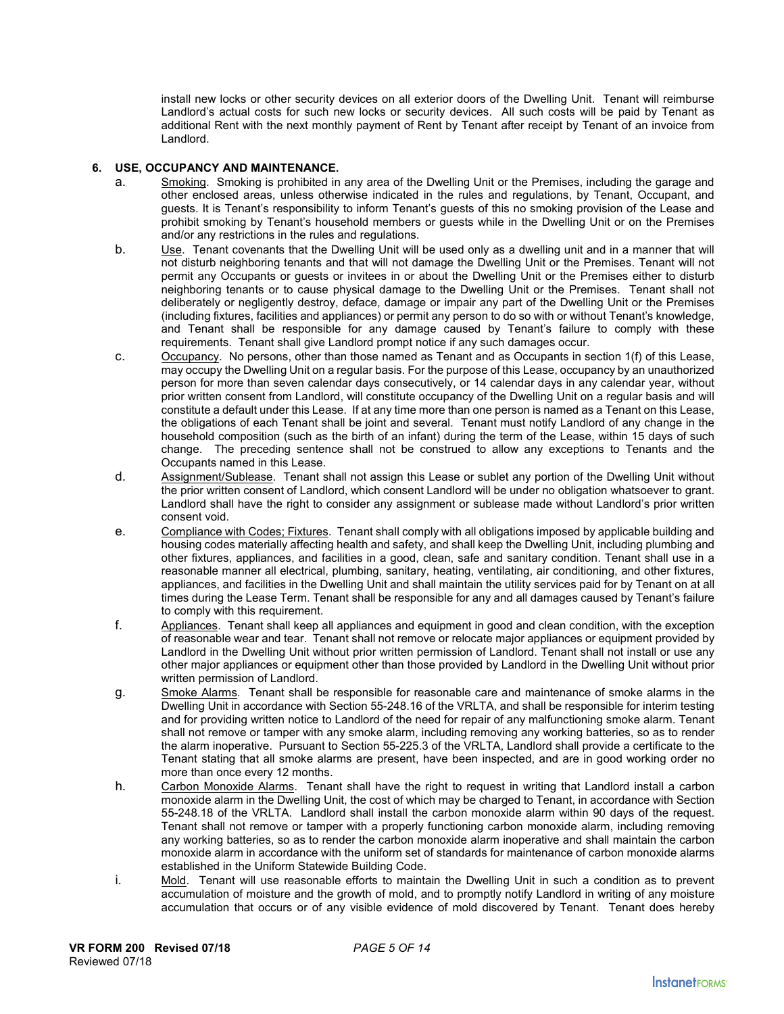install new locks or other security devices on all exterior doors of the Dwelling Unit. Tenant will reimburse Landlord's actual costs for such new locks or security devices. All such costs will be paid by Tenant as additional Rent with the next monthly payment of Rent by Tenant after receipt by Tenant of an invoice from Landlord.

### **6. USE, OCCUPANCY AND MAINTENANCE.**

- a. Smoking. Smoking is prohibited in any area of the Dwelling Unit or the Premises, including the garage and other enclosed areas, unless otherwise indicated in the rules and regulations, by Tenant, Occupant, and guests. It is Tenant's responsibility to inform Tenant's guests of this no smoking provision of the Lease and prohibit smoking by Tenant's household members or guests while in the Dwelling Unit or on the Premises and/or any restrictions in the rules and regulations.
- b. Use. Tenant covenants that the Dwelling Unit will be used only as a dwelling unit and in a manner that will not disturb neighboring tenants and that will not damage the Dwelling Unit or the Premises. Tenant will not permit any Occupants or guests or invitees in or about the Dwelling Unit or the Premises either to disturb neighboring tenants or to cause physical damage to the Dwelling Unit or the Premises. Tenant shall not deliberately or negligently destroy, deface, damage or impair any part of the Dwelling Unit or the Premises (including fixtures, facilities and appliances) or permit any person to do so with or without Tenant's knowledge, and Tenant shall be responsible for any damage caused by Tenant's failure to comply with these requirements. Tenant shall give Landlord prompt notice if any such damages occur.
- c. Occupancy. No persons, other than those named as Tenant and as Occupants in section 1(f) of this Lease, may occupy the Dwelling Unit on a regular basis. For the purpose of this Lease, occupancy by an unauthorized person for more than seven calendar days consecutively, or 14 calendar days in any calendar year, without prior written consent from Landlord, will constitute occupancy of the Dwelling Unit on a regular basis and will constitute a default under this Lease. If at any time more than one person is named as a Tenant on this Lease, the obligations of each Tenant shall be joint and several. Tenant must notify Landlord of any change in the household composition (such as the birth of an infant) during the term of the Lease, within 15 days of such change. The preceding sentence shall not be construed to allow any exceptions to Tenants and the Occupants named in this Lease.
- d. Assignment/Sublease. Tenant shall not assign this Lease or sublet any portion of the Dwelling Unit without the prior written consent of Landlord, which consent Landlord will be under no obligation whatsoever to grant. Landlord shall have the right to consider any assignment or sublease made without Landlord's prior written consent void.
- e. Compliance with Codes; Fixtures. Tenant shall comply with all obligations imposed by applicable building and housing codes materially affecting health and safety, and shall keep the Dwelling Unit, including plumbing and other fixtures, appliances, and facilities in a good, clean, safe and sanitary condition. Tenant shall use in a reasonable manner all electrical, plumbing, sanitary, heating, ventilating, air conditioning, and other fixtures, appliances, and facilities in the Dwelling Unit and shall maintain the utility services paid for by Tenant on at all times during the Lease Term. Tenant shall be responsible for any and all damages caused by Tenant's failure to comply with this requirement.
- f. Appliances. Tenant shall keep all appliances and equipment in good and clean condition, with the exception of reasonable wear and tear. Tenant shall not remove or relocate major appliances or equipment provided by Landlord in the Dwelling Unit without prior written permission of Landlord. Tenant shall not install or use any other major appliances or equipment other than those provided by Landlord in the Dwelling Unit without prior written permission of Landlord.
- g. Smoke Alarms. Tenant shall be responsible for reasonable care and maintenance of smoke alarms in the Dwelling Unit in accordance with Section 55-248.16 of the VRLTA, and shall be responsible for interim testing and for providing written notice to Landlord of the need for repair of any malfunctioning smoke alarm. Tenant shall not remove or tamper with any smoke alarm, including removing any working batteries, so as to render the alarm inoperative. Pursuant to Section 55-225.3 of the VRLTA, Landlord shall provide a certificate to the Tenant stating that all smoke alarms are present, have been inspected, and are in good working order no more than once every 12 months.
- h. Carbon Monoxide Alarms. Tenant shall have the right to request in writing that Landlord install a carbon monoxide alarm in the Dwelling Unit, the cost of which may be charged to Tenant, in accordance with Section 55-248.18 of the VRLTA. Landlord shall install the carbon monoxide alarm within 90 days of the request. Tenant shall not remove or tamper with a properly functioning carbon monoxide alarm, including removing any working batteries, so as to render the carbon monoxide alarm inoperative and shall maintain the carbon monoxide alarm in accordance with the uniform set of standards for maintenance of carbon monoxide alarms established in the Uniform Statewide Building Code.
- i. Mold. Tenant will use reasonable efforts to maintain the Dwelling Unit in such a condition as to prevent accumulation of moisture and the growth of mold, and to promptly notify Landlord in writing of any moisture accumulation that occurs or of any visible evidence of mold discovered by Tenant. Tenant does hereby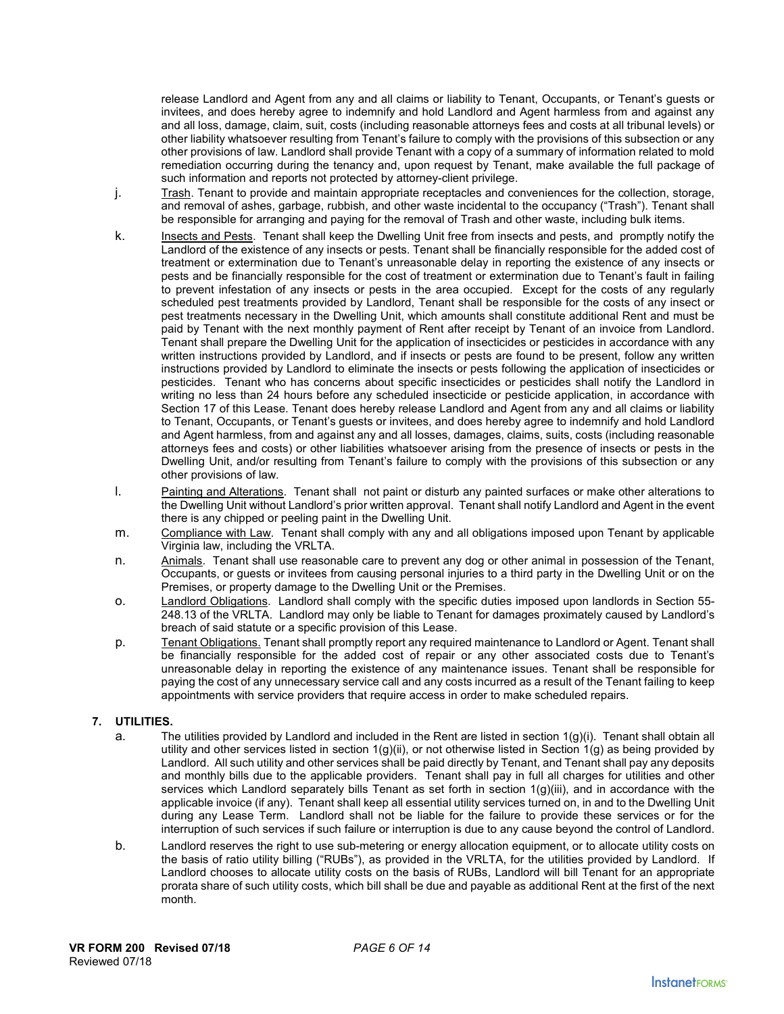release Landlord and Agent from any and all claims or liability to Tenant, Occupants, or Tenant's guests or invitees, and does hereby agree to indemnify and hold Landlord and Agent harmless from and against any and all loss, damage, claim, suit, costs (including reasonable attorneys fees and costs at all tribunal levels) or other liability whatsoever resulting from Tenant's failure to comply with the provisions of this subsection or any other provisions of law. Landlord shall provide Tenant with a copy of a summary of information related to mold remediation occurring during the tenancy and, upon request by Tenant, make available the full package of such information and reports not protected by attorney-client privilege.

- j. Trash. Tenant to provide and maintain appropriate receptacles and conveniences for the collection, storage, and removal of ashes, garbage, rubbish, and other waste incidental to the occupancy ("Trash"). Tenant shall be responsible for arranging and paying for the removal of Trash and other waste, including bulk items.
- k. Insects and Pests. Tenant shall keep the Dwelling Unit free from insects and pests, and promptly notify the Landlord of the existence of any insects or pests. Tenant shall be financially responsible for the added cost of treatment or extermination due to Tenant's unreasonable delay in reporting the existence of any insects or pests and be financially responsible for the cost of treatment or extermination due to Tenant's fault in failing to prevent infestation of any insects or pests in the area occupied. Except for the costs of any regularly scheduled pest treatments provided by Landlord, Tenant shall be responsible for the costs of any insect or pest treatments necessary in the Dwelling Unit, which amounts shall constitute additional Rent and must be paid by Tenant with the next monthly payment of Rent after receipt by Tenant of an invoice from Landlord. Tenant shall prepare the Dwelling Unit for the application of insecticides or pesticides in accordance with any written instructions provided by Landlord, and if insects or pests are found to be present, follow any written instructions provided by Landlord to eliminate the insects or pests following the application of insecticides or pesticides. Tenant who has concerns about specific insecticides or pesticides shall notify the Landlord in writing no less than 24 hours before any scheduled insecticide or pesticide application, in accordance with Section 17 of this Lease. Tenant does hereby release Landlord and Agent from any and all claims or liability to Tenant, Occupants, or Tenant's guests or invitees, and does hereby agree to indemnify and hold Landlord and Agent harmless, from and against any and all losses, damages, claims, suits, costs (including reasonable attorneys fees and costs) or other liabilities whatsoever arising from the presence of insects or pests in the Dwelling Unit, and/or resulting from Tenant's failure to comply with the provisions of this subsection or any other provisions of law.
- l. Painting and Alterations. Tenant shall not paint or disturb any painted surfaces or make other alterations to the Dwelling Unit without Landlord's prior written approval. Tenant shall notify Landlord and Agent in the event there is any chipped or peeling paint in the Dwelling Unit.
- m. Compliance with Law. Tenant shall comply with any and all obligations imposed upon Tenant by applicable Virginia law, including the VRLTA.
- n. Animals. Tenant shall use reasonable care to prevent any dog or other animal in possession of the Tenant, Occupants, or guests or invitees from causing personal injuries to a third party in the Dwelling Unit or on the Premises, or property damage to the Dwelling Unit or the Premises.
- o. Landlord Obligations. Landlord shall comply with the specific duties imposed upon landlords in Section 55- 248.13 of the VRLTA. Landlord may only be liable to Tenant for damages proximately caused by Landlord's breach of said statute or a specific provision of this Lease.
- p. Tenant Obligations. Tenant shall promptly report any required maintenance to Landlord or Agent. Tenant shall be financially responsible for the added cost of repair or any other associated costs due to Tenant's unreasonable delay in reporting the existence of any maintenance issues. Tenant shall be responsible for paying the cost of any unnecessary service call and any costs incurred as a result of the Tenant failing to keep appointments with service providers that require access in order to make scheduled repairs.

# **7. UTILITIES.**

- a. The utilities provided by Landlord and included in the Rent are listed in section  $1(g)(i)$ . Tenant shall obtain all utility and other services listed in section  $1(g)(ii)$ , or not otherwise listed in Section  $1(g)$  as being provided by Landlord. All such utility and other services shall be paid directly by Tenant, and Tenant shall pay any deposits and monthly bills due to the applicable providers. Tenant shall pay in full all charges for utilities and other services which Landlord separately bills Tenant as set forth in section 1(g)(iii), and in accordance with the applicable invoice (if any). Tenant shall keep all essential utility services turned on, in and to the Dwelling Unit during any Lease Term. Landlord shall not be liable for the failure to provide these services or for the interruption of such services if such failure or interruption is due to any cause beyond the control of Landlord.
- b. Landlord reserves the right to use sub-metering or energy allocation equipment, or to allocate utility costs on the basis of ratio utility billing ("RUBs"), as provided in the VRLTA, for the utilities provided by Landlord. If Landlord chooses to allocate utility costs on the basis of RUBs, Landlord will bill Tenant for an appropriate prorata share of such utility costs, which bill shall be due and payable as additional Rent at the first of the next month.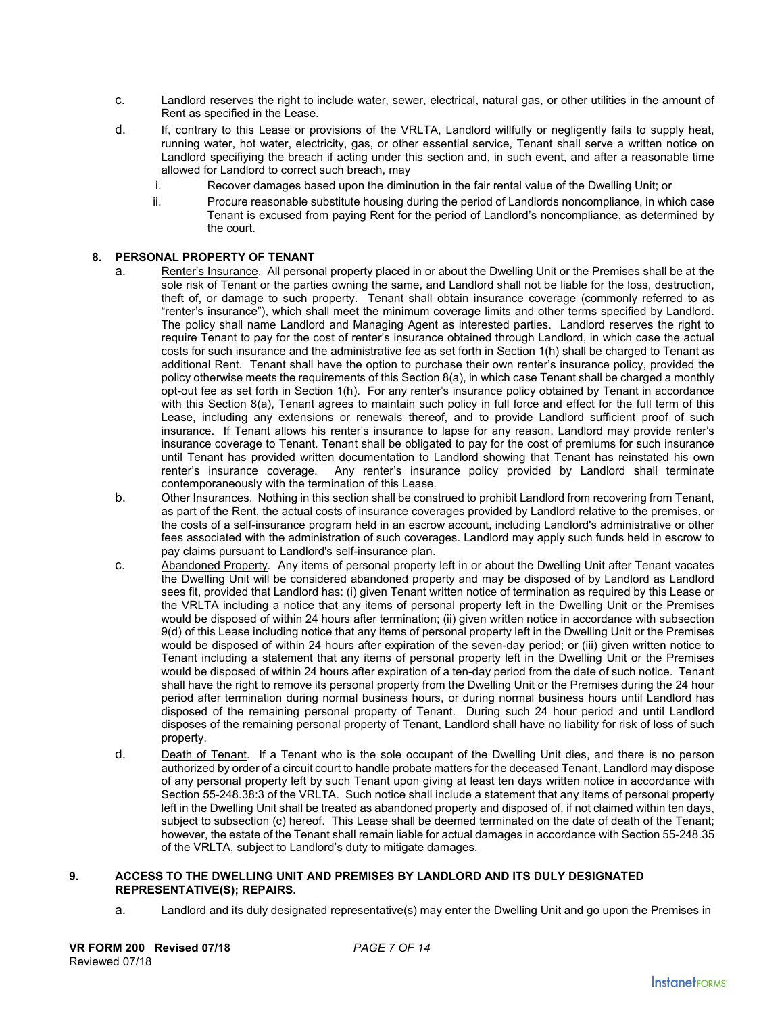- c. Landlord reserves the right to include water, sewer, electrical, natural gas, or other utilities in the amount of Rent as specified in the Lease.
- d. If, contrary to this Lease or provisions of the VRLTA, Landlord willfully or negligently fails to supply heat, running water, hot water, electricity, gas, or other essential service, Tenant shall serve a written notice on Landlord specifiying the breach if acting under this section and, in such event, and after a reasonable time allowed for Landlord to correct such breach, may
	- i. Recover damages based upon the diminution in the fair rental value of the Dwelling Unit; or
	- ii. Procure reasonable substitute housing during the period of Landlords noncompliance, in which case Tenant is excused from paying Rent for the period of Landlord's noncompliance, as determined by the court.

# **8. PERSONAL PROPERTY OF TENANT**

- a. Renter's Insurance. All personal property placed in or about the Dwelling Unit or the Premises shall be at the sole risk of Tenant or the parties owning the same, and Landlord shall not be liable for the loss, destruction, theft of, or damage to such property. Tenant shall obtain insurance coverage (commonly referred to as "renter's insurance"), which shall meet the minimum coverage limits and other terms specified by Landlord. The policy shall name Landlord and Managing Agent as interested parties. Landlord reserves the right to require Tenant to pay for the cost of renter's insurance obtained through Landlord, in which case the actual costs for such insurance and the administrative fee as set forth in Section 1(h) shall be charged to Tenant as additional Rent. Tenant shall have the option to purchase their own renter's insurance policy, provided the policy otherwise meets the requirements of this Section 8(a), in which case Tenant shall be charged a monthly opt-out fee as set forth in Section 1(h). For any renter's insurance policy obtained by Tenant in accordance with this Section 8(a), Tenant agrees to maintain such policy in full force and effect for the full term of this Lease, including any extensions or renewals thereof, and to provide Landlord sufficient proof of such insurance. If Tenant allows his renter's insurance to lapse for any reason, Landlord may provide renter's insurance coverage to Tenant. Tenant shall be obligated to pay for the cost of premiums for such insurance until Tenant has provided written documentation to Landlord showing that Tenant has reinstated his own renter's insurance coverage. Any renter's insurance policy provided by Landlord shall terminate contemporaneously with the termination of this Lease.
- b. Other Insurances. Nothing in this section shall be construed to prohibit Landlord from recovering from Tenant, as part of the Rent, the actual costs of insurance coverages provided by Landlord relative to the premises, or the costs of a self-insurance program held in an escrow account, including Landlord's administrative or other fees associated with the administration of such coverages. Landlord may apply such funds held in escrow to pay claims pursuant to Landlord's self-insurance plan.
- c. Abandoned Property. Any items of personal property left in or about the Dwelling Unit after Tenant vacates the Dwelling Unit will be considered abandoned property and may be disposed of by Landlord as Landlord sees fit, provided that Landlord has: (i) given Tenant written notice of termination as required by this Lease or the VRLTA including a notice that any items of personal property left in the Dwelling Unit or the Premises would be disposed of within 24 hours after termination; (ii) given written notice in accordance with subsection 9(d) of this Lease including notice that any items of personal property left in the Dwelling Unit or the Premises would be disposed of within 24 hours after expiration of the seven-day period; or (iii) given written notice to Tenant including a statement that any items of personal property left in the Dwelling Unit or the Premises would be disposed of within 24 hours after expiration of a ten-day period from the date of such notice. Tenant shall have the right to remove its personal property from the Dwelling Unit or the Premises during the 24 hour period after termination during normal business hours, or during normal business hours until Landlord has disposed of the remaining personal property of Tenant. During such 24 hour period and until Landlord disposes of the remaining personal property of Tenant, Landlord shall have no liability for risk of loss of such property.
- d. Death of Tenant. If a Tenant who is the sole occupant of the Dwelling Unit dies, and there is no person authorized by order of a circuit court to handle probate matters for the deceased Tenant, Landlord may dispose of any personal property left by such Tenant upon giving at least ten days written notice in accordance with Section 55-248.38:3 of the VRLTA. Such notice shall include a statement that any items of personal property left in the Dwelling Unit shall be treated as abandoned property and disposed of, if not claimed within ten days, subject to subsection (c) hereof. This Lease shall be deemed terminated on the date of death of the Tenant; however, the estate of the Tenant shall remain liable for actual damages in accordance with Section 55-248.35 of the VRLTA, subject to Landlord's duty to mitigate damages.

### **9. ACCESS TO THE DWELLING UNIT AND PREMISES BY LANDLORD AND ITS DULY DESIGNATED REPRESENTATIVE(S); REPAIRS.**

a. Landlord and its duly designated representative(s) may enter the Dwelling Unit and go upon the Premises in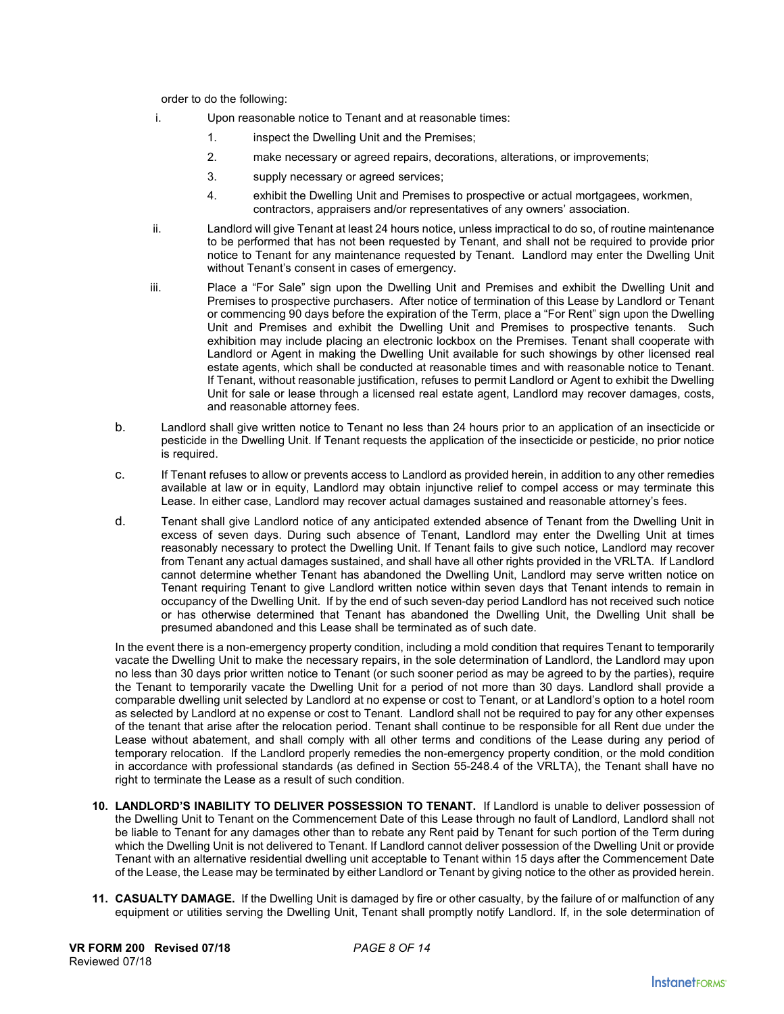order to do the following:

- i. Upon reasonable notice to Tenant and at reasonable times:
	- 1. inspect the Dwelling Unit and the Premises;
	- 2. make necessary or agreed repairs, decorations, alterations, or improvements;
	- 3. supply necessary or agreed services;
	- 4. exhibit the Dwelling Unit and Premises to prospective or actual mortgagees, workmen, contractors, appraisers and/or representatives of any owners' association.
- ii. Landlord will give Tenant at least 24 hours notice, unless impractical to do so, of routine maintenance to be performed that has not been requested by Tenant, and shall not be required to provide prior notice to Tenant for any maintenance requested by Tenant. Landlord may enter the Dwelling Unit without Tenant's consent in cases of emergency.
- iii. Place a "For Sale" sign upon the Dwelling Unit and Premises and exhibit the Dwelling Unit and Premises to prospective purchasers. After notice of termination of this Lease by Landlord or Tenant or commencing 90 days before the expiration of the Term, place a "For Rent" sign upon the Dwelling Unit and Premises and exhibit the Dwelling Unit and Premises to prospective tenants. Such exhibition may include placing an electronic lockbox on the Premises. Tenant shall cooperate with Landlord or Agent in making the Dwelling Unit available for such showings by other licensed real estate agents, which shall be conducted at reasonable times and with reasonable notice to Tenant. If Tenant, without reasonable justification, refuses to permit Landlord or Agent to exhibit the Dwelling Unit for sale or lease through a licensed real estate agent, Landlord may recover damages, costs, and reasonable attorney fees.
- b. Landlord shall give written notice to Tenant no less than 24 hours prior to an application of an insecticide or pesticide in the Dwelling Unit. If Tenant requests the application of the insecticide or pesticide, no prior notice is required.
- c. If Tenant refuses to allow or prevents access to Landlord as provided herein, in addition to any other remedies available at law or in equity, Landlord may obtain injunctive relief to compel access or may terminate this Lease. In either case, Landlord may recover actual damages sustained and reasonable attorney's fees.
- d. Tenant shall give Landlord notice of any anticipated extended absence of Tenant from the Dwelling Unit in excess of seven days. During such absence of Tenant, Landlord may enter the Dwelling Unit at times reasonably necessary to protect the Dwelling Unit. If Tenant fails to give such notice, Landlord may recover from Tenant any actual damages sustained, and shall have all other rights provided in the VRLTA. If Landlord cannot determine whether Tenant has abandoned the Dwelling Unit, Landlord may serve written notice on Tenant requiring Tenant to give Landlord written notice within seven days that Tenant intends to remain in occupancy of the Dwelling Unit. If by the end of such seven-day period Landlord has not received such notice or has otherwise determined that Tenant has abandoned the Dwelling Unit, the Dwelling Unit shall be presumed abandoned and this Lease shall be terminated as of such date.

In the event there is a non-emergency property condition, including a mold condition that requires Tenant to temporarily vacate the Dwelling Unit to make the necessary repairs, in the sole determination of Landlord, the Landlord may upon no less than 30 days prior written notice to Tenant (or such sooner period as may be agreed to by the parties), require the Tenant to temporarily vacate the Dwelling Unit for a period of not more than 30 days. Landlord shall provide a comparable dwelling unit selected by Landlord at no expense or cost to Tenant, or at Landlord's option to a hotel room as selected by Landlord at no expense or cost to Tenant. Landlord shall not be required to pay for any other expenses of the tenant that arise after the relocation period. Tenant shall continue to be responsible for all Rent due under the Lease without abatement, and shall comply with all other terms and conditions of the Lease during any period of temporary relocation. If the Landlord properly remedies the non-emergency property condition, or the mold condition in accordance with professional standards (as defined in Section 55-248.4 of the VRLTA), the Tenant shall have no right to terminate the Lease as a result of such condition.

- **10. LANDLORD'S INABILITY TO DELIVER POSSESSION TO TENANT.** If Landlord is unable to deliver possession of the Dwelling Unit to Tenant on the Commencement Date of this Lease through no fault of Landlord, Landlord shall not be liable to Tenant for any damages other than to rebate any Rent paid by Tenant for such portion of the Term during which the Dwelling Unit is not delivered to Tenant. If Landlord cannot deliver possession of the Dwelling Unit or provide Tenant with an alternative residential dwelling unit acceptable to Tenant within 15 days after the Commencement Date of the Lease, the Lease may be terminated by either Landlord or Tenant by giving notice to the other as provided herein.
- **11. CASUALTY DAMAGE.** If the Dwelling Unit is damaged by fire or other casualty, by the failure of or malfunction of any equipment or utilities serving the Dwelling Unit, Tenant shall promptly notify Landlord. If, in the sole determination of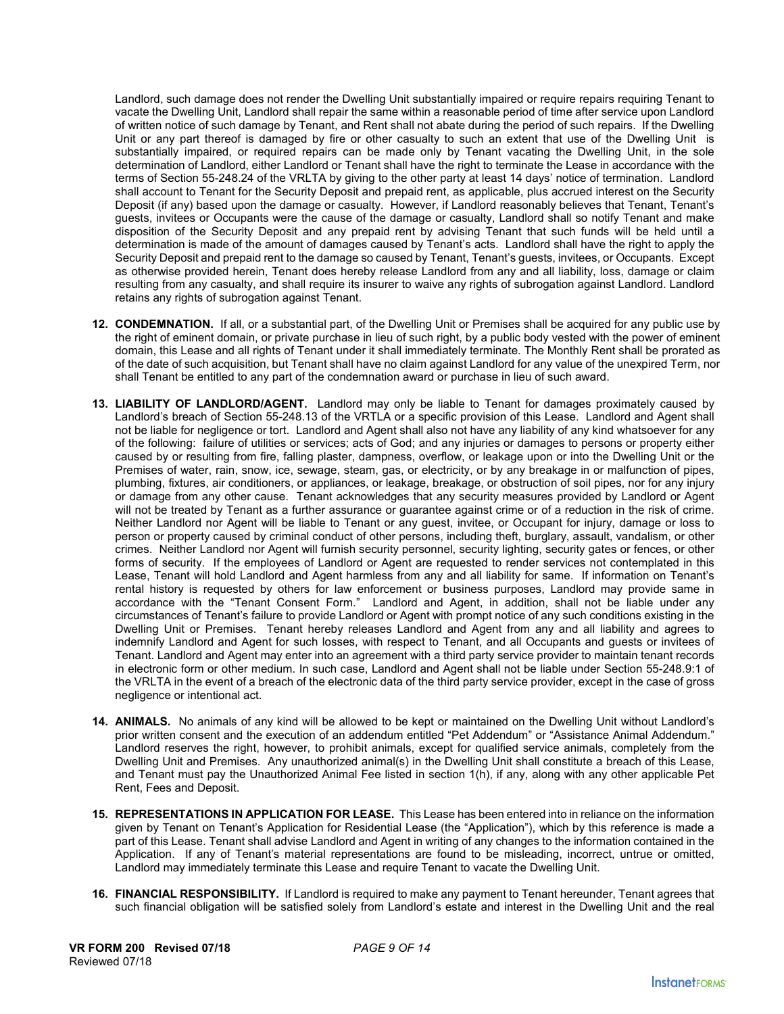Landlord, such damage does not render the Dwelling Unit substantially impaired or require repairs requiring Tenant to vacate the Dwelling Unit, Landlord shall repair the same within a reasonable period of time after service upon Landlord of written notice of such damage by Tenant, and Rent shall not abate during the period of such repairs. If the Dwelling Unit or any part thereof is damaged by fire or other casualty to such an extent that use of the Dwelling Unit is substantially impaired, or required repairs can be made only by Tenant vacating the Dwelling Unit, in the sole determination of Landlord, either Landlord or Tenant shall have the right to terminate the Lease in accordance with the terms of Section 55-248.24 of the VRLTA by giving to the other party at least 14 days' notice of termination. Landlord shall account to Tenant for the Security Deposit and prepaid rent, as applicable, plus accrued interest on the Security Deposit (if any) based upon the damage or casualty. However, if Landlord reasonably believes that Tenant, Tenant's guests, invitees or Occupants were the cause of the damage or casualty, Landlord shall so notify Tenant and make disposition of the Security Deposit and any prepaid rent by advising Tenant that such funds will be held until a determination is made of the amount of damages caused by Tenant's acts. Landlord shall have the right to apply the Security Deposit and prepaid rent to the damage so caused by Tenant, Tenant's guests, invitees, or Occupants. Except as otherwise provided herein, Tenant does hereby release Landlord from any and all liability, loss, damage or claim resulting from any casualty, and shall require its insurer to waive any rights of subrogation against Landlord. Landlord retains any rights of subrogation against Tenant.

- **12. CONDEMNATION.** If all, or a substantial part, of the Dwelling Unit or Premises shall be acquired for any public use by the right of eminent domain, or private purchase in lieu of such right, by a public body vested with the power of eminent domain, this Lease and all rights of Tenant under it shall immediately terminate. The Monthly Rent shall be prorated as of the date of such acquisition, but Tenant shall have no claim against Landlord for any value of the unexpired Term, nor shall Tenant be entitled to any part of the condemnation award or purchase in lieu of such award.
- **13. LIABILITY OF LANDLORD/AGENT.** Landlord may only be liable to Tenant for damages proximately caused by Landlord's breach of Section 55-248.13 of the VRTLA or a specific provision of this Lease. Landlord and Agent shall not be liable for negligence or tort. Landlord and Agent shall also not have any liability of any kind whatsoever for any of the following: failure of utilities or services; acts of God; and any injuries or damages to persons or property either caused by or resulting from fire, falling plaster, dampness, overflow, or leakage upon or into the Dwelling Unit or the Premises of water, rain, snow, ice, sewage, steam, gas, or electricity, or by any breakage in or malfunction of pipes, plumbing, fixtures, air conditioners, or appliances, or leakage, breakage, or obstruction of soil pipes, nor for any injury or damage from any other cause. Tenant acknowledges that any security measures provided by Landlord or Agent will not be treated by Tenant as a further assurance or guarantee against crime or of a reduction in the risk of crime. Neither Landlord nor Agent will be liable to Tenant or any guest, invitee, or Occupant for injury, damage or loss to person or property caused by criminal conduct of other persons, including theft, burglary, assault, vandalism, or other crimes. Neither Landlord nor Agent will furnish security personnel, security lighting, security gates or fences, or other forms of security. If the employees of Landlord or Agent are requested to render services not contemplated in this Lease, Tenant will hold Landlord and Agent harmless from any and all liability for same. If information on Tenant's rental history is requested by others for law enforcement or business purposes, Landlord may provide same in accordance with the "Tenant Consent Form." Landlord and Agent, in addition, shall not be liable under any circumstances of Tenant's failure to provide Landlord or Agent with prompt notice of any such conditions existing in the Dwelling Unit or Premises. Tenant hereby releases Landlord and Agent from any and all liability and agrees to indemnify Landlord and Agent for such losses, with respect to Tenant, and all Occupants and guests or invitees of Tenant. Landlord and Agent may enter into an agreement with a third party service provider to maintain tenant records in electronic form or other medium. In such case, Landlord and Agent shall not be liable under Section 55-248.9:1 of the VRLTA in the event of a breach of the electronic data of the third party service provider, except in the case of gross negligence or intentional act.
- **14. ANIMALS.** No animals of any kind will be allowed to be kept or maintained on the Dwelling Unit without Landlord's prior written consent and the execution of an addendum entitled "Pet Addendum" or "Assistance Animal Addendum." Landlord reserves the right, however, to prohibit animals, except for qualified service animals, completely from the Dwelling Unit and Premises. Any unauthorized animal(s) in the Dwelling Unit shall constitute a breach of this Lease, and Tenant must pay the Unauthorized Animal Fee listed in section 1(h), if any, along with any other applicable Pet Rent, Fees and Deposit.
- **15. REPRESENTATIONS IN APPLICATION FOR LEASE.** This Lease has been entered into in reliance on the information given by Tenant on Tenant's Application for Residential Lease (the "Application"), which by this reference is made a part of this Lease. Tenant shall advise Landlord and Agent in writing of any changes to the information contained in the Application. If any of Tenant's material representations are found to be misleading, incorrect, untrue or omitted, Landlord may immediately terminate this Lease and require Tenant to vacate the Dwelling Unit.
- **16. FINANCIAL RESPONSIBILITY.** If Landlord is required to make any payment to Tenant hereunder, Tenant agrees that such financial obligation will be satisfied solely from Landlord's estate and interest in the Dwelling Unit and the real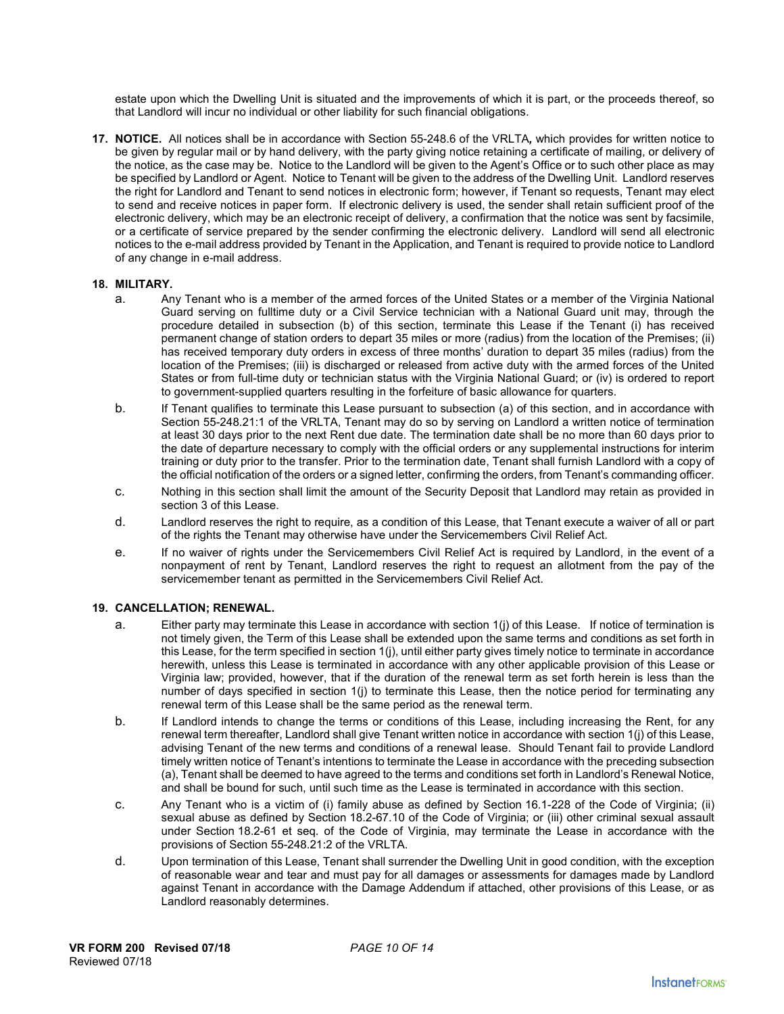estate upon which the Dwelling Unit is situated and the improvements of which it is part, or the proceeds thereof, so that Landlord will incur no individual or other liability for such financial obligations.

**17. NOTICE.** All notices shall be in accordance with Section 55-248.6 of the VRLTA*,* which provides for written notice to be given by regular mail or by hand delivery, with the party giving notice retaining a certificate of mailing, or delivery of the notice, as the case may be. Notice to the Landlord will be given to the Agent's Office or to such other place as may be specified by Landlord or Agent. Notice to Tenant will be given to the address of the Dwelling Unit. Landlord reserves the right for Landlord and Tenant to send notices in electronic form; however, if Tenant so requests, Tenant may elect to send and receive notices in paper form. If electronic delivery is used, the sender shall retain sufficient proof of the electronic delivery, which may be an electronic receipt of delivery, a confirmation that the notice was sent by facsimile, or a certificate of service prepared by the sender confirming the electronic delivery. Landlord will send all electronic notices to the e-mail address provided by Tenant in the Application, and Tenant is required to provide notice to Landlord of any change in e-mail address.

### **18. MILITARY.**

- a. Any Tenant who is a member of the armed forces of the United States or a member of the Virginia National Guard serving on fulltime duty or a Civil Service technician with a National Guard unit may, through the procedure detailed in subsection (b) of this section, terminate this Lease if the Tenant (i) has received permanent change of station orders to depart 35 miles or more (radius) from the location of the Premises; (ii) has received temporary duty orders in excess of three months' duration to depart 35 miles (radius) from the location of the Premises; (iii) is discharged or released from active duty with the armed forces of the United States or from full-time duty or technician status with the Virginia National Guard; or (iv) is ordered to report to government-supplied quarters resulting in the forfeiture of basic allowance for quarters.
- b. If Tenant qualifies to terminate this Lease pursuant to subsection (a) of this section, and in accordance with Section 55-248.21:1 of the VRLTA, Tenant may do so by serving on Landlord a written notice of termination at least 30 days prior to the next Rent due date. The termination date shall be no more than 60 days prior to the date of departure necessary to comply with the official orders or any supplemental instructions for interim training or duty prior to the transfer. Prior to the termination date, Tenant shall furnish Landlord with a copy of the official notification of the orders or a signed letter, confirming the orders, from Tenant's commanding officer.
- c. Nothing in this section shall limit the amount of the Security Deposit that Landlord may retain as provided in section 3 of this Lease.
- d. Landlord reserves the right to require, as a condition of this Lease, that Tenant execute a waiver of all or part of the rights the Tenant may otherwise have under the Servicemembers Civil Relief Act.
- e. If no waiver of rights under the Servicemembers Civil Relief Act is required by Landlord, in the event of a nonpayment of rent by Tenant, Landlord reserves the right to request an allotment from the pay of the servicemember tenant as permitted in the Servicemembers Civil Relief Act.

### **19. CANCELLATION; RENEWAL.**

- a. Either party may terminate this Lease in accordance with section 1(j) of this Lease. If notice of termination is not timely given, the Term of this Lease shall be extended upon the same terms and conditions as set forth in this Lease, for the term specified in section 1(j), until either party gives timely notice to terminate in accordance herewith, unless this Lease is terminated in accordance with any other applicable provision of this Lease or Virginia law; provided, however, that if the duration of the renewal term as set forth herein is less than the number of days specified in section 1(j) to terminate this Lease, then the notice period for terminating any renewal term of this Lease shall be the same period as the renewal term.
- b. If Landlord intends to change the terms or conditions of this Lease, including increasing the Rent, for any renewal term thereafter, Landlord shall give Tenant written notice in accordance with section 1(j) of this Lease, advising Tenant of the new terms and conditions of a renewal lease. Should Tenant fail to provide Landlord timely written notice of Tenant's intentions to terminate the Lease in accordance with the preceding subsection (a), Tenant shall be deemed to have agreed to the terms and conditions set forth in Landlord's Renewal Notice, and shall be bound for such, until such time as the Lease is terminated in accordance with this section.
- c. Any Tenant who is a victim of (i) family abuse as defined by Section 16.1-228 of the Code of Virginia; (ii) sexual abuse as defined by Section 18.2-67.10 of the Code of Virginia; or (iii) other criminal sexual assault under Section 18.2-61 et seq. of the Code of Virginia, may terminate the Lease in accordance with the provisions of Section 55-248.21:2 of the VRLTA.
- d. Upon termination of this Lease, Tenant shall surrender the Dwelling Unit in good condition, with the exception of reasonable wear and tear and must pay for all damages or assessments for damages made by Landlord against Tenant in accordance with the Damage Addendum if attached, other provisions of this Lease, or as Landlord reasonably determines.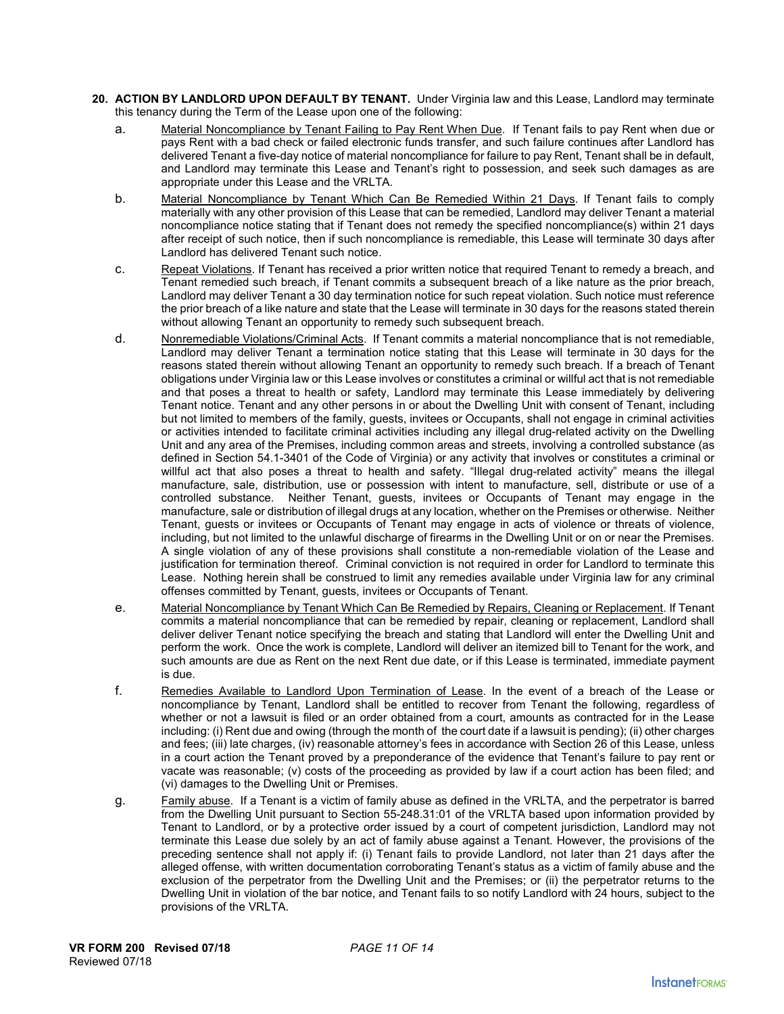- **20. ACTION BY LANDLORD UPON DEFAULT BY TENANT.** Under Virginia law and this Lease, Landlord may terminate this tenancy during the Term of the Lease upon one of the following:
	- a. Material Noncompliance by Tenant Failing to Pay Rent When Due. If Tenant fails to pay Rent when due or pays Rent with a bad check or failed electronic funds transfer, and such failure continues after Landlord has delivered Tenant a five-day notice of material noncompliance for failure to pay Rent, Tenant shall be in default, and Landlord may terminate this Lease and Tenant's right to possession, and seek such damages as are appropriate under this Lease and the VRLTA.
	- b. Material Noncompliance by Tenant Which Can Be Remedied Within 21 Days. If Tenant fails to comply materially with any other provision of this Lease that can be remedied, Landlord may deliver Tenant a material noncompliance notice stating that if Tenant does not remedy the specified noncompliance(s) within 21 days after receipt of such notice, then if such noncompliance is remediable, this Lease will terminate 30 days after Landlord has delivered Tenant such notice.
	- c. Repeat Violations. If Tenant has received a prior written notice that required Tenant to remedy a breach, and Tenant remedied such breach, if Tenant commits a subsequent breach of a like nature as the prior breach, Landlord may deliver Tenant a 30 day termination notice for such repeat violation. Such notice must reference the prior breach of a like nature and state that the Lease will terminate in 30 days for the reasons stated therein without allowing Tenant an opportunity to remedy such subsequent breach.
	- d. Nonremediable Violations/Criminal Acts. If Tenant commits a material noncompliance that is not remediable, Landlord may deliver Tenant a termination notice stating that this Lease will terminate in 30 days for the reasons stated therein without allowing Tenant an opportunity to remedy such breach. If a breach of Tenant obligations under Virginia law or this Lease involves or constitutes a criminal or willful act that is not remediable and that poses a threat to health or safety, Landlord may terminate this Lease immediately by delivering Tenant notice. Tenant and any other persons in or about the Dwelling Unit with consent of Tenant, including but not limited to members of the family, guests, invitees or Occupants, shall not engage in criminal activities or activities intended to facilitate criminal activities including any illegal drug-related activity on the Dwelling Unit and any area of the Premises, including common areas and streets, involving a controlled substance (as defined in Section 54.1-3401 of the Code of Virginia) or any activity that involves or constitutes a criminal or willful act that also poses a threat to health and safety. "Illegal drug-related activity" means the illegal manufacture, sale, distribution, use or possession with intent to manufacture, sell, distribute or use of a controlled substance. Neither Tenant, guests, invitees or Occupants of Tenant may engage in the manufacture, sale or distribution of illegal drugs at any location, whether on the Premises or otherwise. Neither Tenant, guests or invitees or Occupants of Tenant may engage in acts of violence or threats of violence, including, but not limited to the unlawful discharge of firearms in the Dwelling Unit or on or near the Premises. A single violation of any of these provisions shall constitute a non-remediable violation of the Lease and justification for termination thereof. Criminal conviction is not required in order for Landlord to terminate this Lease. Nothing herein shall be construed to limit any remedies available under Virginia law for any criminal offenses committed by Tenant, guests, invitees or Occupants of Tenant.
	- e. Material Noncompliance by Tenant Which Can Be Remedied by Repairs, Cleaning or Replacement. If Tenant commits a material noncompliance that can be remedied by repair, cleaning or replacement, Landlord shall deliver deliver Tenant notice specifying the breach and stating that Landlord will enter the Dwelling Unit and perform the work. Once the work is complete, Landlord will deliver an itemized bill to Tenant for the work, and such amounts are due as Rent on the next Rent due date, or if this Lease is terminated, immediate payment is due.
	- f. Remedies Available to Landlord Upon Termination of Lease. In the event of a breach of the Lease or noncompliance by Tenant, Landlord shall be entitled to recover from Tenant the following, regardless of whether or not a lawsuit is filed or an order obtained from a court, amounts as contracted for in the Lease including: (i) Rent due and owing (through the month of the court date if a lawsuit is pending); (ii) other charges and fees; (iii) late charges, (iv) reasonable attorney's fees in accordance with Section 26 of this Lease, unless in a court action the Tenant proved by a preponderance of the evidence that Tenant's failure to pay rent or vacate was reasonable; (v) costs of the proceeding as provided by law if a court action has been filed; and (vi) damages to the Dwelling Unit or Premises.
	- g. Family abuse. If a Tenant is a victim of family abuse as defined in the VRLTA, and the perpetrator is barred from the Dwelling Unit pursuant to Section 55-248.31:01 of the VRLTA based upon information provided by Tenant to Landlord, or by a protective order issued by a court of competent jurisdiction, Landlord may not terminate this Lease due solely by an act of family abuse against a Tenant. However, the provisions of the preceding sentence shall not apply if: (i) Tenant fails to provide Landlord, not later than 21 days after the alleged offense, with written documentation corroborating Tenant's status as a victim of family abuse and the exclusion of the perpetrator from the Dwelling Unit and the Premises; or (ii) the perpetrator returns to the Dwelling Unit in violation of the bar notice, and Tenant fails to so notify Landlord with 24 hours, subject to the provisions of the VRLTA.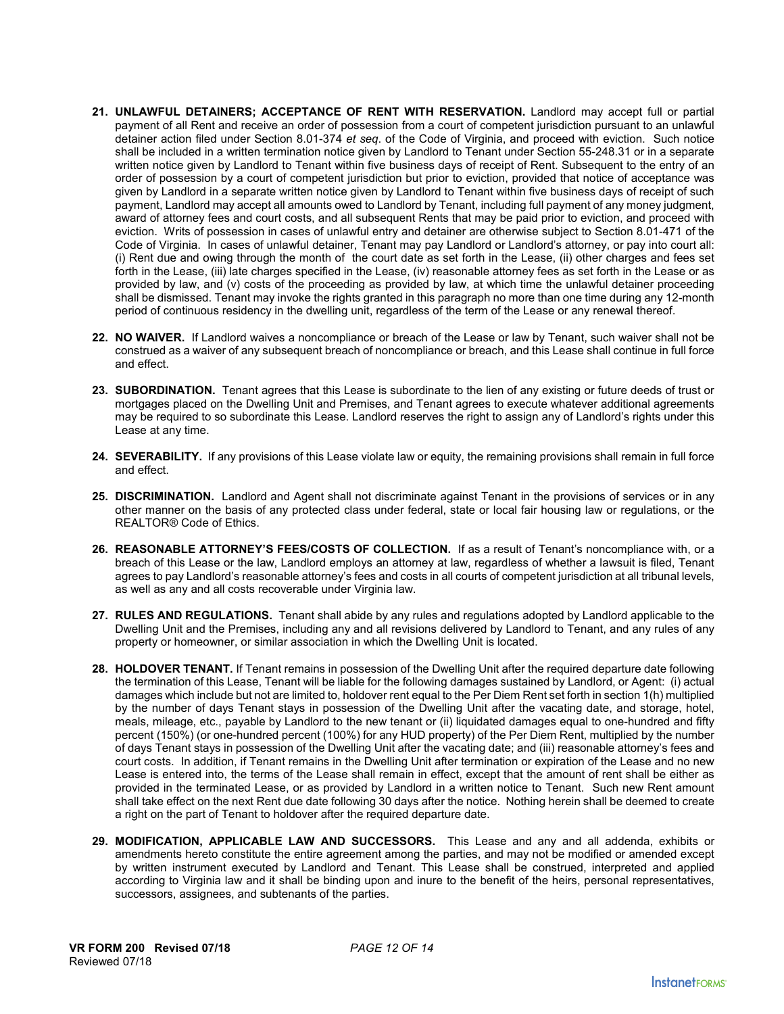- 21. UNLAWFUL DETAINERS; ACCEPTANCE OF RENT WITH RESERVATION. Landlord may accept full or partial payment of all Rent and receive an order of possession from a court of competent jurisdiction pursuant to an unlawful detainer action filed under Section 8.01-374 *et seq*. of the Code of Virginia, and proceed with eviction. Such notice shall be included in a written termination notice given by Landlord to Tenant under Section 55-248.31 or in a separate written notice given by Landlord to Tenant within five business days of receipt of Rent. Subsequent to the entry of an order of possession by a court of competent jurisdiction but prior to eviction, provided that notice of acceptance was given by Landlord in a separate written notice given by Landlord to Tenant within five business days of receipt of such payment, Landlord may accept all amounts owed to Landlord by Tenant, including full payment of any money judgment, award of attorney fees and court costs, and all subsequent Rents that may be paid prior to eviction, and proceed with eviction. Writs of possession in cases of unlawful entry and detainer are otherwise subject to Section 8.01-471 of the Code of Virginia. In cases of unlawful detainer, Tenant may pay Landlord or Landlord's attorney, or pay into court all: (i) Rent due and owing through the month of the court date as set forth in the Lease, (ii) other charges and fees set forth in the Lease, (iii) late charges specified in the Lease, (iv) reasonable attorney fees as set forth in the Lease or as provided by law, and (v) costs of the proceeding as provided by law, at which time the unlawful detainer proceeding shall be dismissed. Tenant may invoke the rights granted in this paragraph no more than one time during any 12-month period of continuous residency in the dwelling unit, regardless of the term of the Lease or any renewal thereof.
- **22. NO WAIVER.** If Landlord waives a noncompliance or breach of the Lease or law by Tenant, such waiver shall not be construed as a waiver of any subsequent breach of noncompliance or breach, and this Lease shall continue in full force and effect.
- **23. SUBORDINATION.** Tenant agrees that this Lease is subordinate to the lien of any existing or future deeds of trust or mortgages placed on the Dwelling Unit and Premises, and Tenant agrees to execute whatever additional agreements may be required to so subordinate this Lease. Landlord reserves the right to assign any of Landlord's rights under this Lease at any time.
- **24. SEVERABILITY.** If any provisions of this Lease violate law or equity, the remaining provisions shall remain in full force and effect.
- **25. DISCRIMINATION.** Landlord and Agent shall not discriminate against Tenant in the provisions of services or in any other manner on the basis of any protected class under federal, state or local fair housing law or regulations, or the REALTOR® Code of Ethics.
- 26. REASONABLE ATTORNEY'S FEES/COSTS OF COLLECTION. If as a result of Tenant's noncompliance with, or a breach of this Lease or the law, Landlord employs an attorney at law, regardless of whether a lawsuit is filed, Tenant agrees to pay Landlord's reasonable attorney's fees and costs in all courts of competent jurisdiction at all tribunal levels, as well as any and all costs recoverable under Virginia law.
- **27. RULES AND REGULATIONS.** Tenant shall abide by any rules and regulations adopted by Landlord applicable to the Dwelling Unit and the Premises, including any and all revisions delivered by Landlord to Tenant, and any rules of any property or homeowner, or similar association in which the Dwelling Unit is located.
- **28. HOLDOVER TENANT.** If Tenant remains in possession of the Dwelling Unit after the required departure date following the termination of this Lease, Tenant will be liable for the following damages sustained by Landlord, or Agent: (i) actual damages which include but not are limited to, holdover rent equal to the Per Diem Rent set forth in section 1(h) multiplied by the number of days Tenant stays in possession of the Dwelling Unit after the vacating date, and storage, hotel, meals, mileage, etc., payable by Landlord to the new tenant or (ii) liquidated damages equal to one-hundred and fifty percent (150%) (or one-hundred percent (100%) for any HUD property) of the Per Diem Rent, multiplied by the number of days Tenant stays in possession of the Dwelling Unit after the vacating date; and (iii) reasonable attorney's fees and court costs. In addition, if Tenant remains in the Dwelling Unit after termination or expiration of the Lease and no new Lease is entered into, the terms of the Lease shall remain in effect, except that the amount of rent shall be either as provided in the terminated Lease, or as provided by Landlord in a written notice to Tenant. Such new Rent amount shall take effect on the next Rent due date following 30 days after the notice. Nothing herein shall be deemed to create a right on the part of Tenant to holdover after the required departure date.
- **29. MODIFICATION, APPLICABLE LAW AND SUCCESSORS.** This Lease and any and all addenda, exhibits or amendments hereto constitute the entire agreement among the parties, and may not be modified or amended except by written instrument executed by Landlord and Tenant. This Lease shall be construed, interpreted and applied according to Virginia law and it shall be binding upon and inure to the benefit of the heirs, personal representatives, successors, assignees, and subtenants of the parties.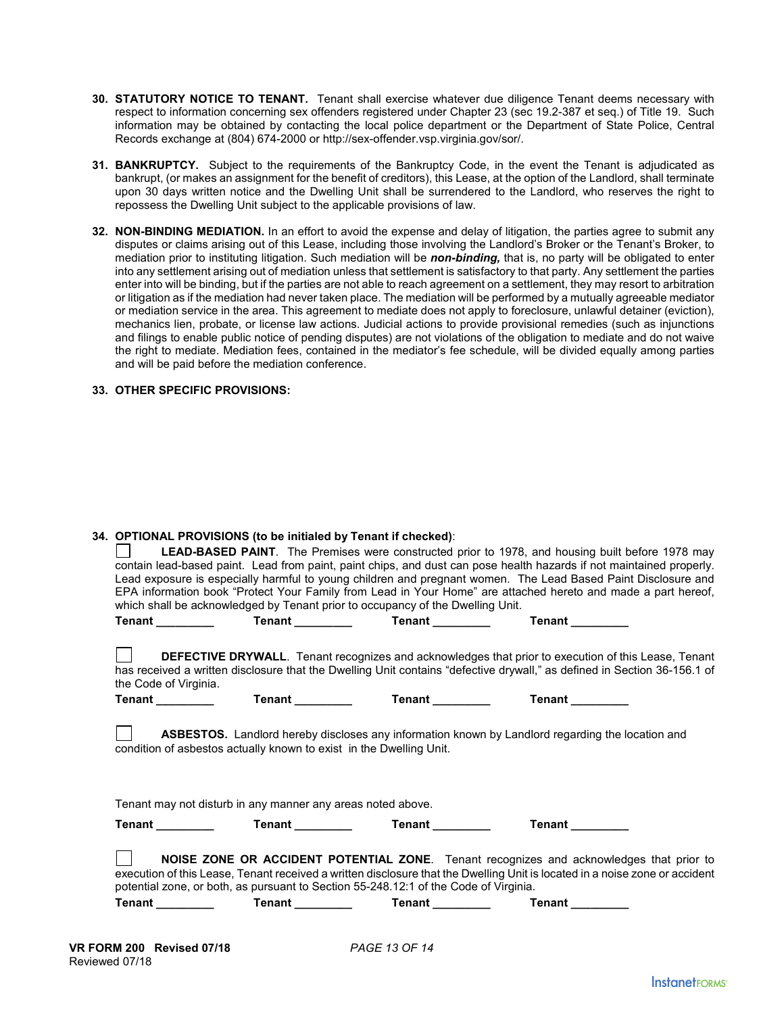- **30. STATUTORY NOTICE TO TENANT.** Tenant shall exercise whatever due diligence Tenant deems necessary with respect to information concerning sex offenders registered under Chapter 23 (sec 19.2-387 et seq.) of Title 19. Such information may be obtained by contacting the local police department or the Department of State Police, Central Records exchange at (804) 674-2000 or http://sex-offender.vsp.virginia.gov/sor/.
- **31. BANKRUPTCY.** Subject to the requirements of the Bankruptcy Code, in the event the Tenant is adjudicated as bankrupt, (or makes an assignment for the benefit of creditors), this Lease, at the option of the Landlord, shall terminate upon 30 days written notice and the Dwelling Unit shall be surrendered to the Landlord, who reserves the right to repossess the Dwelling Unit subject to the applicable provisions of law.
- **32. NON-BINDING MEDIATION.** In an effort to avoid the expense and delay of litigation, the parties agree to submit any disputes or claims arising out of this Lease, including those involving the Landlord's Broker or the Tenant's Broker, to mediation prior to instituting litigation. Such mediation will be *non-binding,* that is, no party will be obligated to enter into any settlement arising out of mediation unless that settlement is satisfactory to that party. Any settlement the parties enter into will be binding, but if the parties are not able to reach agreement on a settlement, they may resort to arbitration or litigation as if the mediation had never taken place. The mediation will be performed by a mutually agreeable mediator or mediation service in the area. This agreement to mediate does not apply to foreclosure, unlawful detainer (eviction), mechanics lien, probate, or license law actions. Judicial actions to provide provisional remedies (such as injunctions and filings to enable public notice of pending disputes) are not violations of the obligation to mediate and do not waive the right to mediate. Mediation fees, contained in the mediator's fee schedule, will be divided equally among parties and will be paid before the mediation conference.

### **33. OTHER SPECIFIC PROVISIONS:**

### **34. OPTIONAL PROVISIONS (to be initialed by Tenant if checked)**:

**LEAD-BASED PAINT**. The Premises were constructed prior to 1978, and housing built before 1978 may contain lead-based paint. Lead from paint, paint chips, and dust can pose health hazards if not maintained properly. Lead exposure is especially harmful to young children and pregnant women. The Lead Based Paint Disclosure and EPA information book "Protect Your Family from Lead in Your Home" are attached hereto and made a part hereof, which shall be acknowledged by Tenant prior to occupancy of the Dwelling Unit.

| <b>Tenant</b><br><b>Tenant</b>                                                                                              | Tenant          | <b>Tenant</b>                                                                                                                                                                                                                           |
|-----------------------------------------------------------------------------------------------------------------------------|-----------------|-----------------------------------------------------------------------------------------------------------------------------------------------------------------------------------------------------------------------------------------|
| the Code of Virginia.                                                                                                       |                 | <b>DEFECTIVE DRYWALL.</b> Tenant recognizes and acknowledges that prior to execution of this Lease, Tenant<br>has received a written disclosure that the Dwelling Unit contains "defective drywall," as defined in Section 36-156.1 of  |
| Tenant ________<br>Tenant _________                                                                                         | Tenant ________ | Tenant ________                                                                                                                                                                                                                         |
| condition of asbestos actually known to exist in the Dwelling Unit.                                                         |                 | <b>ASBESTOS.</b> Landlord hereby discloses any information known by Landlord regarding the location and                                                                                                                                 |
| Tenant may not disturb in any manner any areas noted above.                                                                 |                 |                                                                                                                                                                                                                                         |
| Tenant _________<br>Tenant ________                                                                                         | <b>Tenant</b>   | <b>Tenant</b>                                                                                                                                                                                                                           |
| potential zone, or both, as pursuant to Section 55-248.12:1 of the Code of Virginia.<br>Tenant ________<br>Tenant _________ | <b>Tenant</b>   | NOISE ZONE OR ACCIDENT POTENTIAL ZONE. Tenant recognizes and acknowledges that prior to<br>execution of this Lease, Tenant received a written disclosure that the Dwelling Unit is located in a noise zone or accident<br><b>Tenant</b> |